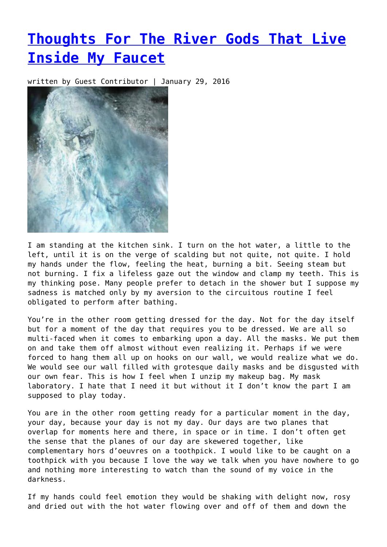## **[Thoughts For The River Gods That Live](https://entropymag.org/thoughts-for-the-river-gods-that-live-inside-my-faucet/) [Inside My Faucet](https://entropymag.org/thoughts-for-the-river-gods-that-live-inside-my-faucet/)**

written by Guest Contributor | January 29, 2016



I am standing at the kitchen sink. I turn on the hot water, a little to the left, until it is on the verge of scalding but not quite, not quite. I hold my hands under the flow, feeling the heat, burning a bit. Seeing steam but not burning. I fix a lifeless gaze out the window and clamp my teeth. This is my thinking pose. Many people prefer to detach in the shower but I suppose my sadness is matched only by my aversion to the circuitous routine I feel obligated to perform after bathing.

You're in the other room getting dressed for the day. Not for the day itself but for a moment of the day that requires you to be dressed. We are all so multi-faced when it comes to embarking upon a day. All the masks. We put them on and take them off almost without even realizing it. Perhaps if we were forced to hang them all up on hooks on our wall, we would realize what we do. We would see our wall filled with grotesque daily masks and be disgusted with our own fear. This is how I feel when I unzip my makeup bag. My mask laboratory. I hate that I need it but without it I don't know the part I am supposed to play today.

You are in the other room getting ready for a particular moment in the day, your day, because your day is not my day. Our days are two planes that overlap for moments here and there, in space or in time. I don't often get the sense that the planes of our day are skewered together, like complementary hors d'oeuvres on a toothpick. I would like to be caught on a toothpick with you because I love the way we talk when you have nowhere to go and nothing more interesting to watch than the sound of my voice in the darkness.

If my hands could feel emotion they would be shaking with delight now, rosy and dried out with the hot water flowing over and off of them and down the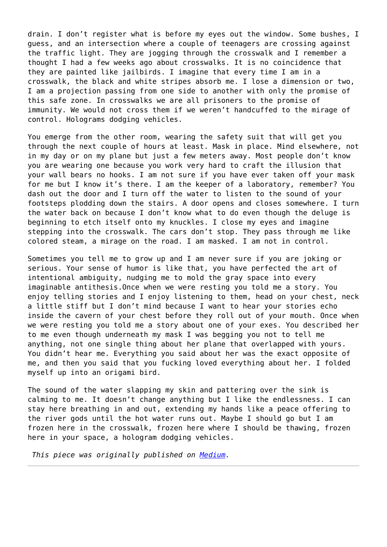drain. I don't register what is before my eyes out the window. Some bushes, I guess, and an intersection where a couple of teenagers are crossing against the traffic light. They are jogging through the crosswalk and I remember a thought I had a few weeks ago about crosswalks. It is no coincidence that they are painted like jailbirds. I imagine that every time I am in a crosswalk, the black and white stripes absorb me. I lose a dimension or two, I am a projection passing from one side to another with only the promise of this safe zone. In crosswalks we are all prisoners to the promise of immunity. We would not cross them if we weren't handcuffed to the mirage of control. Holograms dodging vehicles.

You emerge from the other room, wearing the safety suit that will get you through the next couple of hours at least. Mask in place. Mind elsewhere, not in my day or on my plane but just a few meters away. Most people don't know you are wearing one because you work very hard to craft the illusion that your wall bears no hooks. I am not sure if you have ever taken off your mask for me but I know it's there. I am the keeper of a laboratory, remember? You dash out the door and I turn off the water to listen to the sound of your footsteps plodding down the stairs. A door opens and closes somewhere. I turn the water back on because I don't know what to do even though the deluge is beginning to etch itself onto my knuckles. I close my eyes and imagine stepping into the crosswalk. The cars don't stop. They pass through me like colored steam, a mirage on the road. I am masked. I am not in control.

Sometimes you tell me to grow up and I am never sure if you are joking or serious. Your sense of humor is like that, you have perfected the art of intentional ambiguity, nudging me to mold the gray space into every imaginable antithesis.Once when we were resting you told me a story. You enjoy telling stories and I enjoy listening to them, head on your chest, neck a little stiff but I don't mind because I want to hear your stories echo inside the cavern of your chest before they roll out of your mouth. Once when we were resting you told me a story about one of your exes. You described her to me even though underneath my mask I was begging you not to tell me anything, not one single thing about her plane that overlapped with yours. You didn't hear me. Everything you said about her was the exact opposite of me, and then you said that you fucking loved everything about her. I folded myself up into an origami bird.

The sound of the water slapping my skin and pattering over the sink is calming to me. It doesn't change anything but I like the endlessness. I can stay here breathing in and out, extending my hands like a peace offering to the river gods until the hot water runs out. Maybe I should go but I am frozen here in the crosswalk, frozen here where I should be thawing, frozen here in your space, a hologram dodging vehicles.

*This piece was originally published on [Medium](https://human.parts/thoughts-for-the-river-gods-that-live-inside-my-faucet-8ce0b7397397#.8dcbhnhzv).*